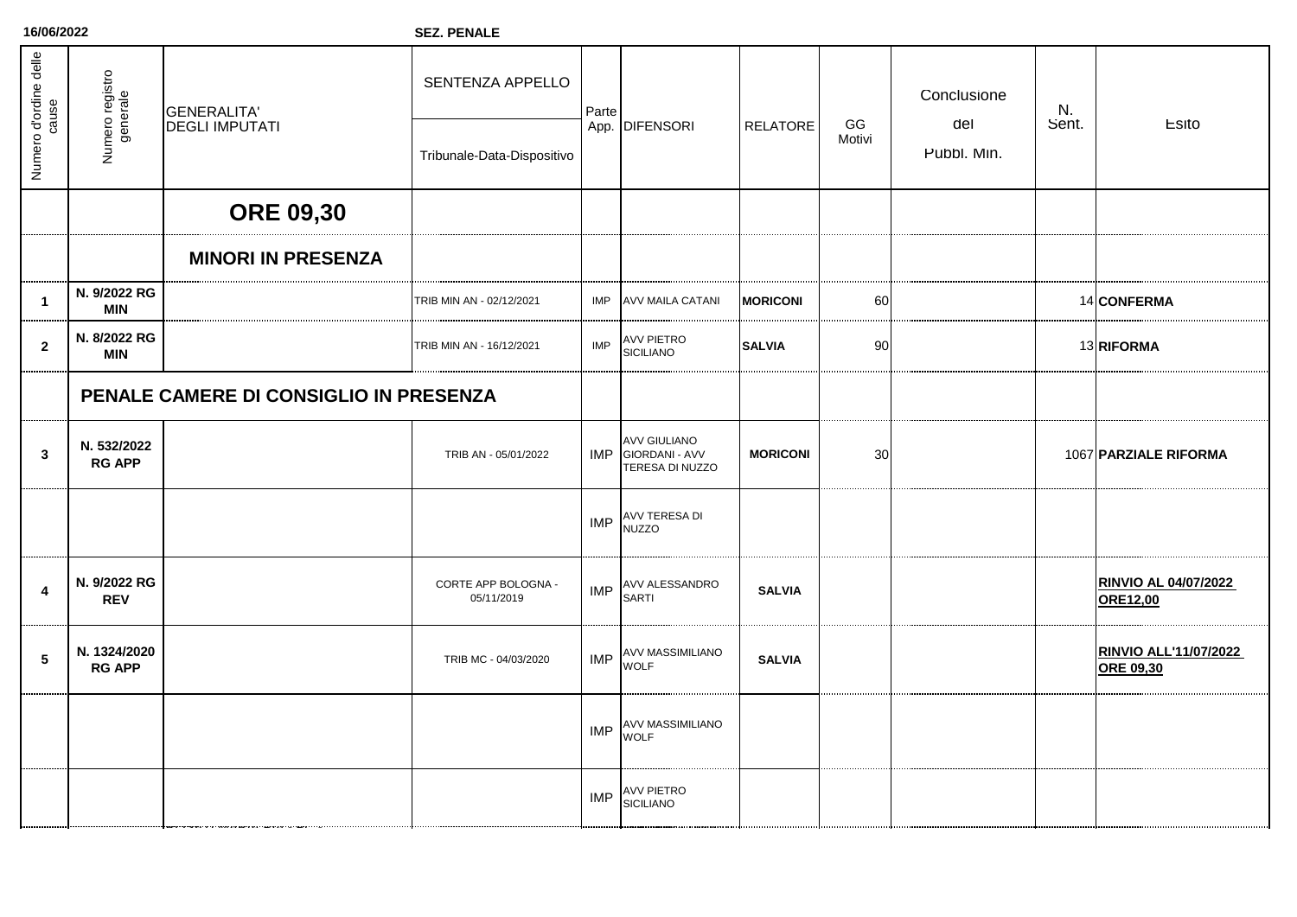**16/06/2022**

**SEZ. PENALE**

| Numero d'ordine delle   | Numero registro<br>generale   | GENERALITA'<br><b>DEGLI IMPUTATI</b>   | SENTENZA APPELLO<br>Tribunale-Data-Dispositivo | Parte      | App. DIFENSORI                                                             | <b>RELATORE</b> | GG<br>Motivi | Conclusione<br>del<br>Pubbl. Min. | N.<br>Sent. | Esito                                            |
|-------------------------|-------------------------------|----------------------------------------|------------------------------------------------|------------|----------------------------------------------------------------------------|-----------------|--------------|-----------------------------------|-------------|--------------------------------------------------|
|                         |                               | <b>ORE 09,30</b>                       |                                                |            |                                                                            |                 |              |                                   |             |                                                  |
|                         |                               | <b>MINORI IN PRESENZA</b>              |                                                |            |                                                                            |                 |              |                                   |             |                                                  |
| $\mathbf{1}$            | N. 9/2022 RG<br><b>MIN</b>    |                                        | TRIB MIN AN - 02/12/2021                       | <b>IMP</b> | <b>AVV MAILA CATANI</b>                                                    | <b>MORICONI</b> | 60           |                                   |             | 14 CONFERMA                                      |
| $\overline{2}$          | N. 8/2022 RG<br><b>MIN</b>    |                                        | TRIB MIN AN - 16/12/2021                       | <b>IMP</b> | <b>AVV PIETRO</b><br><b>SICILIANO</b>                                      | <b>SALVIA</b>   | 90           |                                   |             | 13 RIFORMA                                       |
|                         |                               | PENALE CAMERE DI CONSIGLIO IN PRESENZA |                                                |            |                                                                            |                 |              |                                   |             |                                                  |
| $\overline{\mathbf{3}}$ | N. 532/2022<br><b>RG APP</b>  |                                        | TRIB AN - 05/01/2022                           |            | <b>AVV GIULIANO</b><br><b>IMP</b> GIORDANI - AVV<br><b>TERESA DI NUZZO</b> | <b>MORICONI</b> | 30           |                                   |             | 1067 PARZIALE RIFORMA                            |
|                         |                               |                                        |                                                | <b>IMP</b> | AVV TERESA DI<br><b>NUZZO</b>                                              |                 |              |                                   |             |                                                  |
| 4                       | N. 9/2022 RG<br><b>REV</b>    |                                        | CORTE APP BOLOGNA -<br>05/11/2019              | <b>IMP</b> | AVV ALESSANDRO<br><b>SARTI</b>                                             | <b>SALVIA</b>   |              |                                   |             | <b>RINVIO AL 04/07/2022</b><br><b>ORE12,00</b>   |
| $5\phantom{1}$          | N. 1324/2020<br><b>RG APP</b> |                                        | TRIB MC - 04/03/2020                           | <b>IMP</b> | <b>AVV MASSIMILIANO</b><br><b>WOLF</b>                                     | <b>SALVIA</b>   |              |                                   |             | <b>RINVIO ALL'11/07/2022</b><br><b>ORE 09,30</b> |
|                         |                               |                                        |                                                | <b>IMP</b> | <b>AVV MASSIMILIANO</b><br><b>WOLF</b>                                     |                 |              |                                   |             |                                                  |
|                         |                               |                                        |                                                | <b>IMP</b> | AVV PIETRO<br>SICILIANO                                                    |                 |              |                                   |             |                                                  |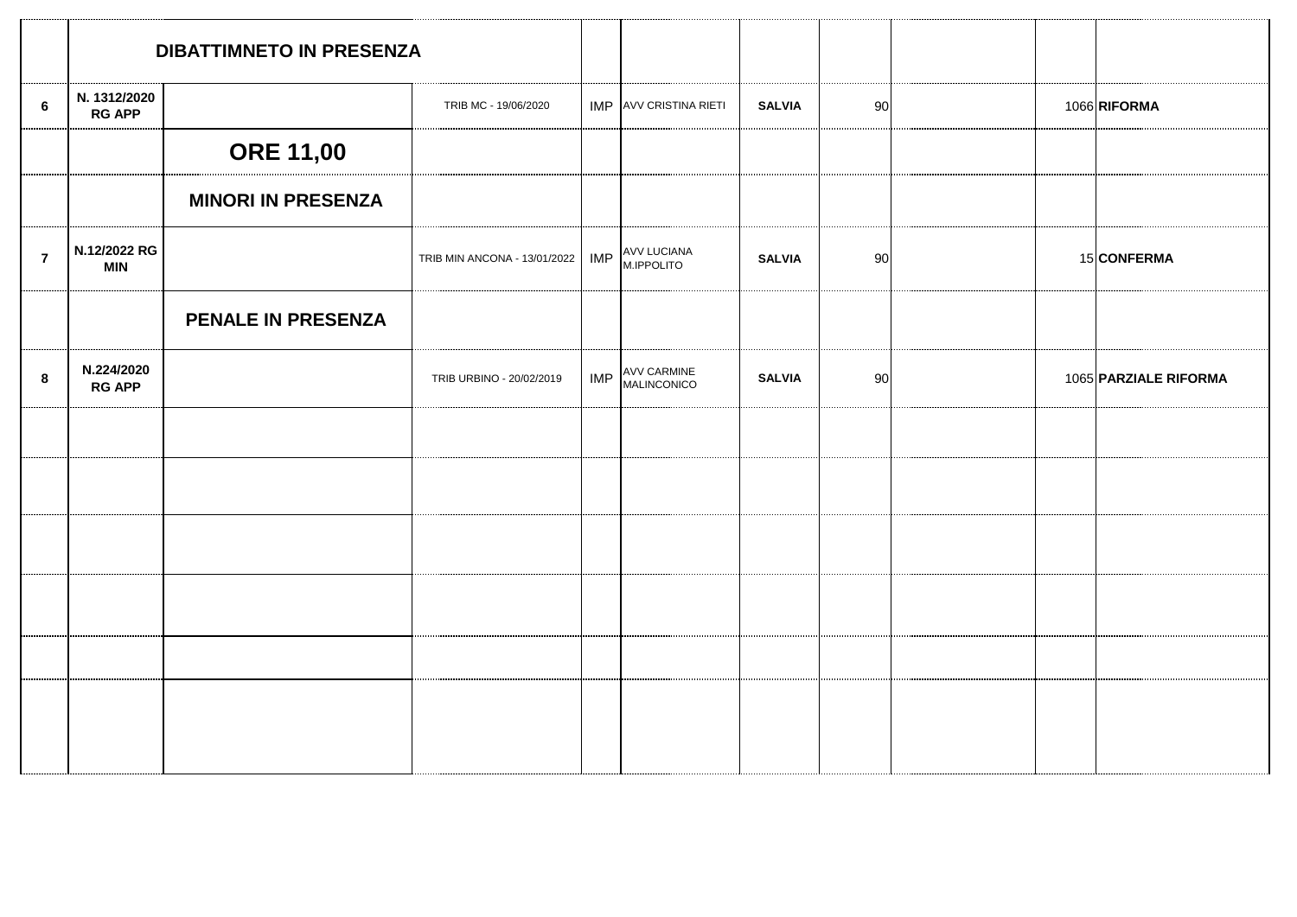|                | <b>DIBATTIMNETO IN PRESENZA</b> |                           |                                    |            |                            |               |    |  |                       |
|----------------|---------------------------------|---------------------------|------------------------------------|------------|----------------------------|---------------|----|--|-----------------------|
| 6              | N. 1312/2020<br><b>RG APP</b>   |                           | TRIB MC - 19/06/2020               |            | IMP AVV CRISTINA RIETI     | <b>SALVIA</b> | 90 |  | 1066 RIFORMA          |
|                |                                 | <b>ORE 11,00</b>          |                                    |            |                            |               |    |  |                       |
|                |                                 | <b>MINORI IN PRESENZA</b> |                                    |            |                            |               |    |  |                       |
| $\overline{7}$ | N.12/2022 RG<br><b>MIN</b>      |                           | TRIB MIN ANCONA - 13/01/2022   IMP |            | AVV LUCIANA<br>M.IPPOLITO  | SALVIA        | 90 |  | 15 CONFERMA           |
|                |                                 | PENALE IN PRESENZA        |                                    |            |                            |               |    |  |                       |
| 8              | N.224/2020<br><b>RG APP</b>     |                           | TRIB URBINO - 20/02/2019           | <b>IMP</b> | AVV CARMINE<br>MALINCONICO | <b>SALVIA</b> | 90 |  | 1065 PARZIALE RIFORMA |
|                |                                 |                           |                                    |            |                            |               |    |  |                       |
|                |                                 |                           |                                    |            |                            |               |    |  |                       |
|                |                                 |                           |                                    |            |                            |               |    |  |                       |
|                |                                 |                           |                                    |            |                            |               |    |  |                       |
|                |                                 |                           |                                    |            |                            |               |    |  |                       |
|                |                                 |                           |                                    |            |                            |               |    |  |                       |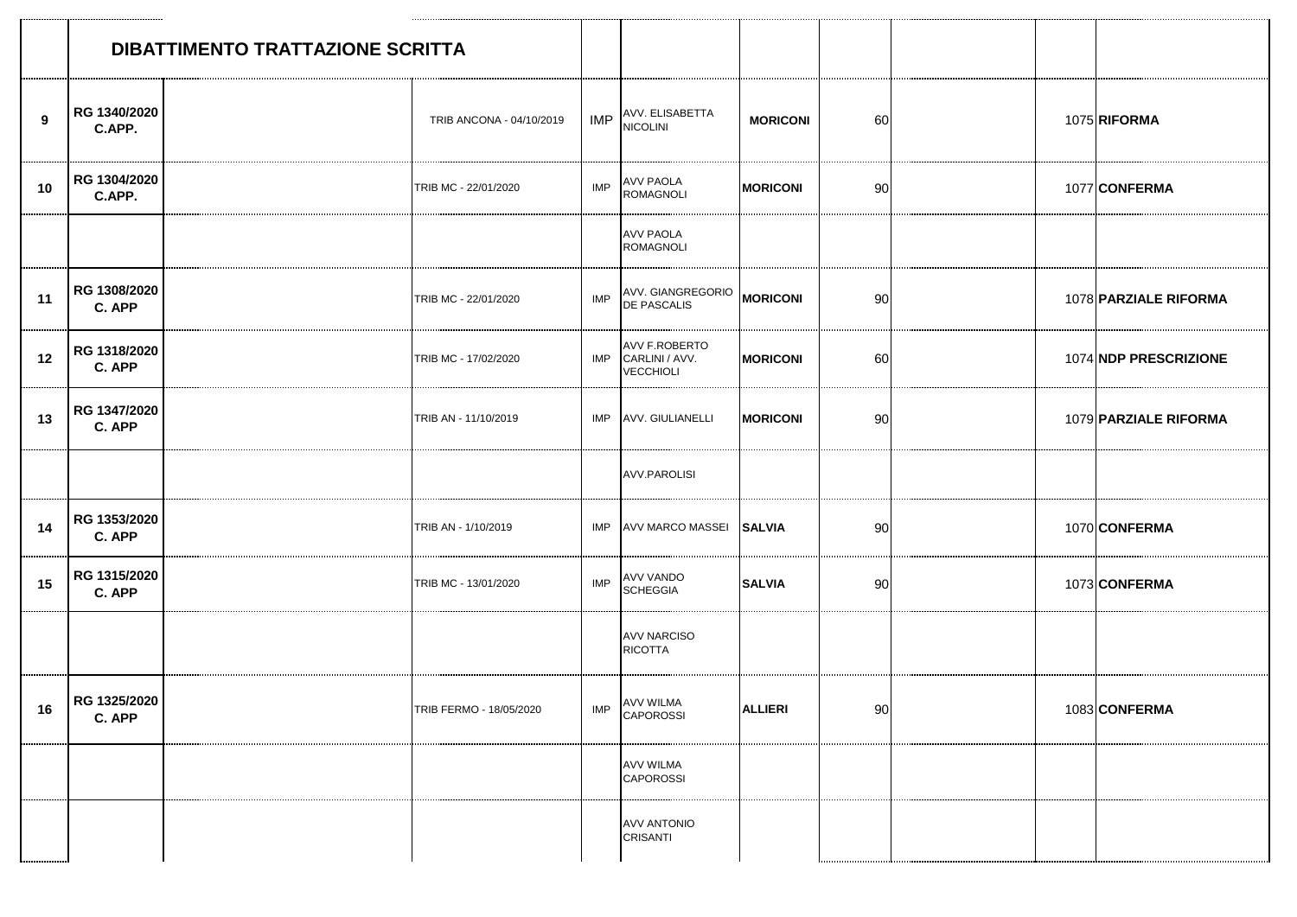|    | DIBATTIMENTO TRATTAZIONE SCRITTA |  |                          |            |                                                                |                 |    |  |                       |
|----|----------------------------------|--|--------------------------|------------|----------------------------------------------------------------|-----------------|----|--|-----------------------|
| 9  | RG 1340/2020<br>C.APP.           |  | TRIB ANCONA - 04/10/2019 |            | IMP AVV. ELISABETTA                                            | <b>MORICONI</b> | 60 |  | 1075 RIFORMA          |
| 10 | RG 1304/2020<br>C.APP.           |  | TRIB MC - 22/01/2020     | <b>IMP</b> | AVV PAOLA<br><b>ROMAGNOLI</b>                                  | <b>MORICONI</b> | 90 |  | 1077 CONFERMA         |
|    |                                  |  |                          |            | <b>AVV PAOLA</b><br><b>ROMAGNOLI</b>                           |                 |    |  |                       |
| 11 | RG 1308/2020<br>C. APP           |  | TRIB MC - 22/01/2020     | <b>IMP</b> | AVV. GIANGREGORIO MORICONI<br>DE PASCALIS                      |                 | 90 |  | 1078 PARZIALE RIFORMA |
| 12 | RG 1318/2020<br>C. APP           |  | TRIB MC - 17/02/2020     |            | <b>AVV F.ROBERTO</b><br>IMP CARLINI / AVV.<br><b>VECCHIOLI</b> | <b>MORICONI</b> | 60 |  | 1074 NDP PRESCRIZIONE |
| 13 | RG 1347/2020<br>C. APP           |  | TRIB AN - 11/10/2019     |            | IMP AVV. GIULIANELLI                                           | <b>MORICONI</b> | 90 |  | 1079 PARZIALE RIFORMA |
|    |                                  |  |                          |            | <b>AVV.PAROLISI</b>                                            |                 |    |  |                       |
| 14 | RG 1353/2020<br>C. APP           |  | TRIB AN - 1/10/2019      |            | IMP AVV MARCO MASSEI SALVIA                                    |                 | 90 |  | 1070 CONFERMA         |
| 15 | RG 1315/2020<br>C. APP           |  | TRIB MC - 13/01/2020     | <b>IMP</b> | AVV VANDO<br><b>SCHEGGIA</b>                                   | <b>SALVIA</b>   | 90 |  | 1073 CONFERMA         |
|    |                                  |  |                          |            | <b>AVV NARCISO</b><br><b>RICOTTA</b>                           |                 |    |  |                       |
| 16 | RG 1325/2020<br>C. APP           |  | TRIB FERMO - 18/05/2020  | IMP        | <b>AVV WILMA</b><br><b>CAPOROSSI</b>                           | <b>ALLIERI</b>  | 90 |  | 1083 CONFERMA         |
|    |                                  |  |                          |            | <b>AVV WILMA</b><br><b>CAPOROSSI</b>                           |                 |    |  |                       |
|    |                                  |  |                          |            | <b>AVV ANTONIO</b><br><b>CRISANTI</b>                          |                 |    |  |                       |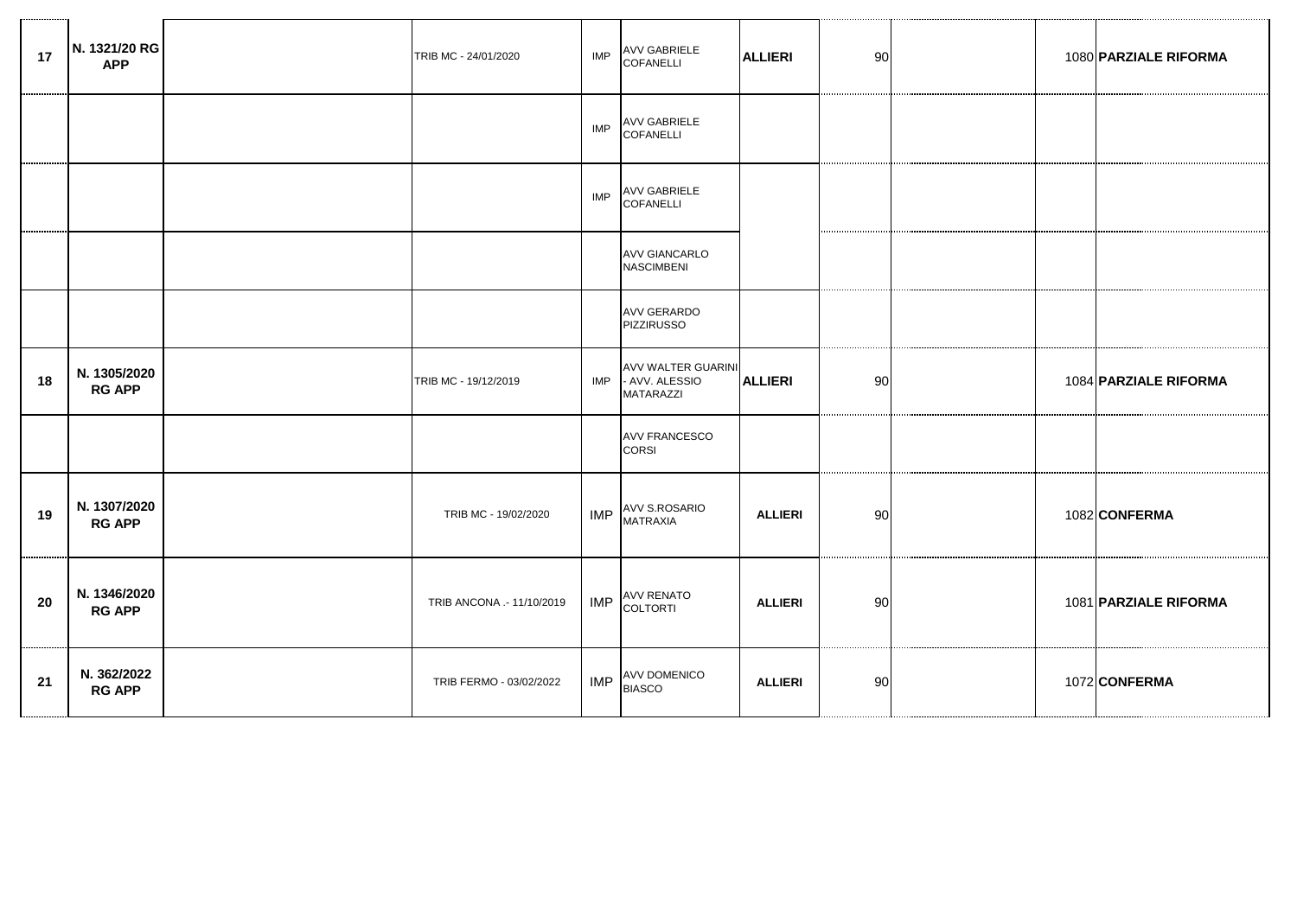| 17 | N. 1321/20 RG<br><b>APP</b>   | TRIB MC - 24/01/2020      | <b>IMP</b> | AVV GABRIELE<br><b>COFANELLI</b>                      | <b>ALLIERI</b> | 90 |  | 1080 PARZIALE RIFORMA |
|----|-------------------------------|---------------------------|------------|-------------------------------------------------------|----------------|----|--|-----------------------|
|    |                               |                           | <b>IMP</b> | <b>AVV GABRIELE</b><br><b>COFANELLI</b>               |                |    |  |                       |
|    |                               |                           | <b>IMP</b> | <b>AVV GABRIELE</b><br>COFANELLI                      |                |    |  |                       |
|    |                               |                           |            | <b>AVV GIANCARLO</b><br><b>NASCIMBENI</b>             |                |    |  |                       |
|    |                               |                           |            | <b>AVV GERARDO</b><br><b>PIZZIRUSSO</b>               |                |    |  |                       |
| 18 | N. 1305/2020<br><b>RG APP</b> | TRIB MC - 19/12/2019      |            | AVV WALTER GUARINI<br>IMP - AVV. ALESSIO<br>MATARAZZI | <b>ALLIERI</b> | 90 |  | 1084 PARZIALE RIFORMA |
|    |                               |                           |            | <b>AVV FRANCESCO</b><br><b>CORSI</b>                  |                |    |  |                       |
| 19 | N. 1307/2020<br><b>RG APP</b> | TRIB MC - 19/02/2020      |            | IMP AVV S.ROSARIO<br><b>MATRAXIA</b>                  | <b>ALLIERI</b> | 90 |  | 1082 CONFERMA         |
| 20 | N. 1346/2020<br><b>RG APP</b> | TRIB ANCONA .- 11/10/2019 |            | IMP AVV RENATO                                        | <b>ALLIERI</b> | 90 |  | 1081 PARZIALE RIFORMA |
| 21 | N. 362/2022<br><b>RG APP</b>  | TRIB FERMO - 03/02/2022   |            | IMP AVV DOMENICO<br><b>BIASCO</b>                     | <b>ALLIERI</b> | 90 |  | 1072 CONFERMA         |